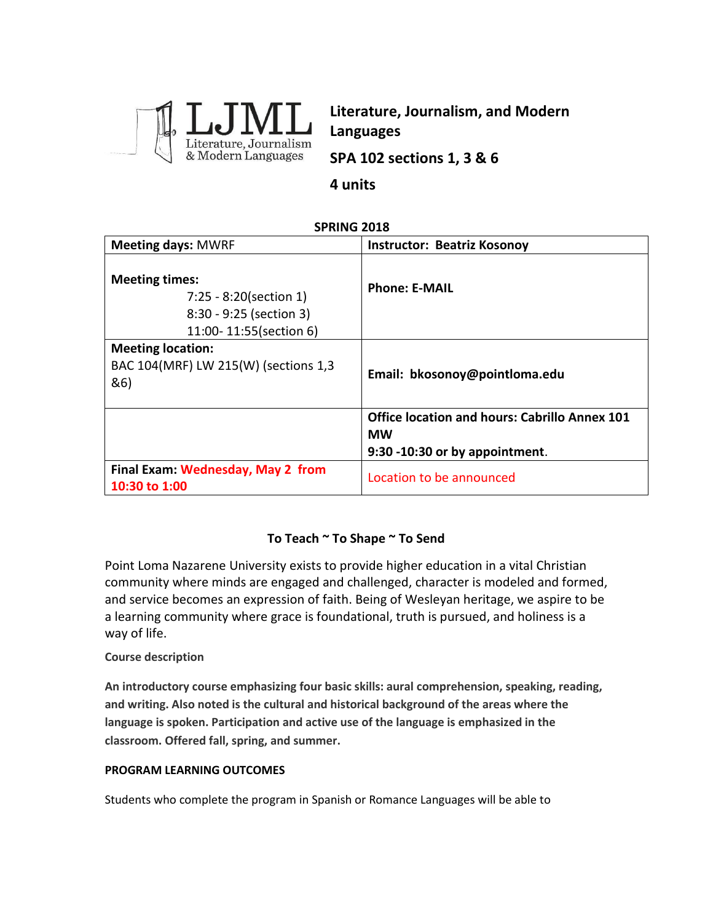

**Literature, Journalism, and Modern Languages**

**SPA 102 sections 1, 3 & 6**

## **4 units**

## **SPRING 2018**

| <b>Meeting days: MWRF</b>                                                                            | <b>Instructor: Beatriz Kosonoy</b>                                                                  |
|------------------------------------------------------------------------------------------------------|-----------------------------------------------------------------------------------------------------|
| <b>Meeting times:</b><br>7:25 - 8:20(section 1)<br>8:30 - 9:25 (section 3)<br>11:00-11:55(section 6) | <b>Phone: E-MAIL</b>                                                                                |
| <b>Meeting location:</b><br>BAC 104(MRF) LW 215(W) (sections 1,3<br>&6)                              | Email: bkosonoy@pointloma.edu                                                                       |
|                                                                                                      | <b>Office location and hours: Cabrillo Annex 101</b><br><b>MW</b><br>9:30 -10:30 or by appointment. |
| Final Exam: Wednesday, May 2 from<br>10:30 to 1:00                                                   | Location to be announced                                                                            |

## **To Teach ~ To Shape ~ To Send**

Point Loma Nazarene University exists to provide higher education in a vital Christian community where minds are engaged and challenged, character is modeled and formed, and service becomes an expression of faith. Being of Wesleyan heritage, we aspire to be a learning community where grace is foundational, truth is pursued, and holiness is a way of life.

#### **Course description**

**An introductory course emphasizing four basic skills: aural comprehension, speaking, reading, and writing. Also noted is the cultural and historical background of the areas where the language is spoken. Participation and active use of the language is emphasized in the classroom. Offered fall, spring, and summer.** 

#### **PROGRAM LEARNING OUTCOMES**

Students who complete the program in Spanish or Romance Languages will be able to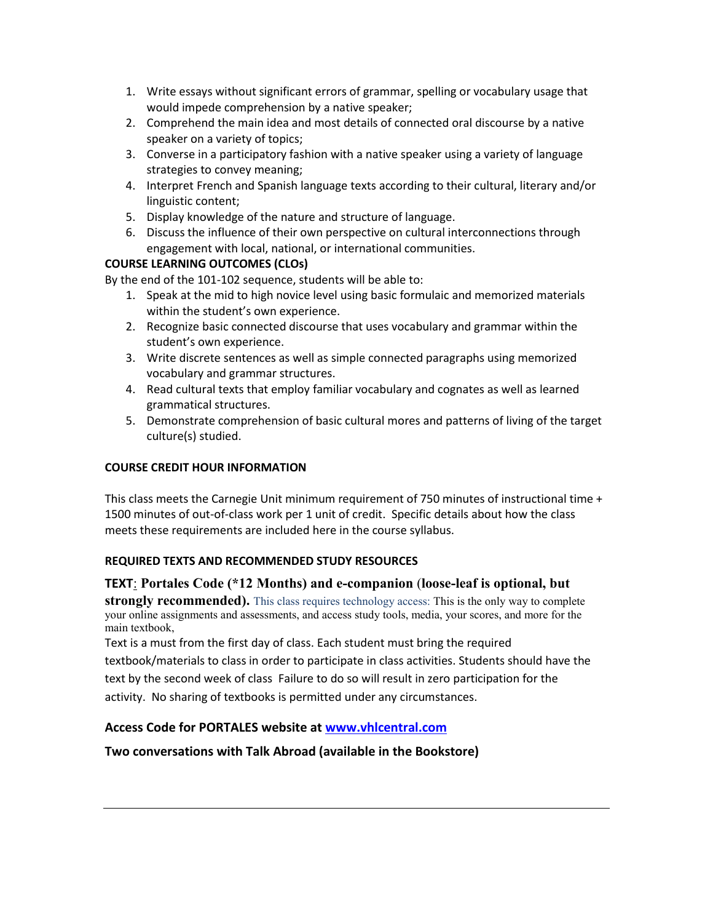- 1. Write essays without significant errors of grammar, spelling or vocabulary usage that would impede comprehension by a native speaker;
- 2. Comprehend the main idea and most details of connected oral discourse by a native speaker on a variety of topics;
- 3. Converse in a participatory fashion with a native speaker using a variety of language strategies to convey meaning;
- 4. Interpret French and Spanish language texts according to their cultural, literary and/or linguistic content;
- 5. Display knowledge of the nature and structure of language.
- 6. Discuss the influence of their own perspective on cultural interconnections through engagement with local, national, or international communities.

## **COURSE LEARNING OUTCOMES (CLOs)**

By the end of the 101-102 sequence, students will be able to:

- 1. Speak at the mid to high novice level using basic formulaic and memorized materials within the student's own experience.
- 2. Recognize basic connected discourse that uses vocabulary and grammar within the student's own experience.
- 3. Write discrete sentences as well as simple connected paragraphs using memorized vocabulary and grammar structures.
- 4. Read cultural texts that employ familiar vocabulary and cognates as well as learned grammatical structures.
- 5. Demonstrate comprehension of basic cultural mores and patterns of living of the target culture(s) studied.

## **COURSE CREDIT HOUR INFORMATION**

This class meets the Carnegie Unit minimum requirement of 750 minutes of instructional time + 1500 minutes of out-of-class work per 1 unit of credit. Specific details about how the class meets these requirements are included here in the course syllabus.

## **REQUIRED TEXTS AND RECOMMENDED STUDY RESOURCES**

**TEXT**: **Portales Code (\*12 Months) and e-companion** (**loose-leaf is optional, but** 

**strongly recommended).** This class requires technology access: This is the only way to complete your online assignments and assessments, and access study tools, media, your scores, and more for the main textbook,

Text is a must from the first day of class. Each student must bring the required

textbook/materials to class in order to participate in class activities. Students should have the text by the second week of class Failure to do so will result in zero participation for the activity. No sharing of textbooks is permitted under any circumstances.

## **Access Code for PORTALES website at [www.vhlcentral.com](http://www.vhlcentral.com/)**

## **Two conversations with Talk Abroad (available in the Bookstore)**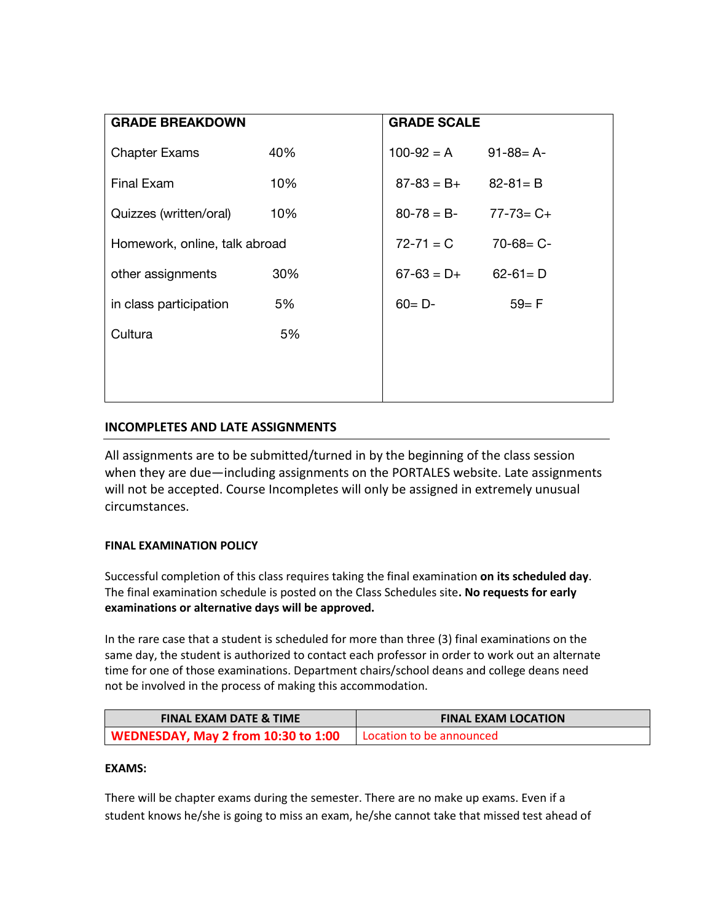| <b>GRADE BREAKDOWN</b>        |     | <b>GRADE SCALE</b> |                 |
|-------------------------------|-----|--------------------|-----------------|
| <b>Chapter Exams</b>          | 40% | $100 - 92 = A$     | $91 - 88 = A$   |
| Final Exam                    | 10% | $87 - 83 = B +$    | $82 - 81 = B$   |
| Quizzes (written/oral)        | 10% | $80 - 78 = B$      | $77 - 73 = C +$ |
| Homework, online, talk abroad |     | $72 - 71 = C$      | $70 - 68 = C -$ |
| other assignments             | 30% | $67-63 = D+$       | $62 - 61 = D$   |
| in class participation        | 5%  | $60 = D -$         | $59 = F$        |
| Cultura                       | 5%  |                    |                 |
|                               |     |                    |                 |
|                               |     |                    |                 |

## **INCOMPLETES AND LATE ASSIGNMENTS**

All assignments are to be submitted/turned in by the beginning of the class session when they are due—including assignments on the PORTALES website. Late assignments will not be accepted. Course Incompletes will only be assigned in extremely unusual circumstances.

## **FINAL EXAMINATION POLICY**

Successful completion of this class requires taking the final examination **on its scheduled day**. The final examination schedule is posted on the Class Schedules site**. No requests for early examinations or alternative days will be approved.**

In the rare case that a student is scheduled for more than three (3) final examinations on the same day, the student is authorized to contact each professor in order to work out an alternate time for one of those examinations. Department chairs/school deans and college deans need not be involved in the process of making this accommodation.

| <b>FINAL EXAM DATE &amp; TIME</b>   | <b>FINAL EXAM LOCATION</b> |
|-------------------------------------|----------------------------|
| WEDNESDAY, May 2 from 10:30 to 1:00 | Location to be announced   |

#### **EXAMS:**

There will be chapter exams during the semester. There are no make up exams. Even if a student knows he/she is going to miss an exam, he/she cannot take that missed test ahead of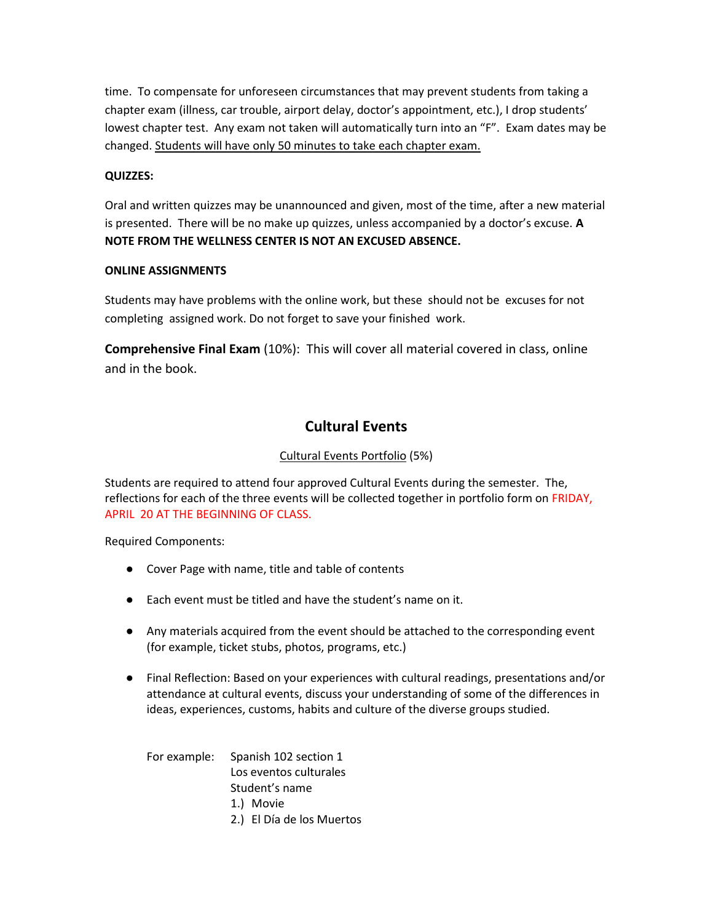time. To compensate for unforeseen circumstances that may prevent students from taking a chapter exam (illness, car trouble, airport delay, doctor's appointment, etc.), I drop students' lowest chapter test. Any exam not taken will automatically turn into an "F". Exam dates may be changed. Students will have only 50 minutes to take each chapter exam.

#### **QUIZZES:**

Oral and written quizzes may be unannounced and given, most of the time, after a new material is presented. There will be no make up quizzes, unless accompanied by a doctor's excuse. **A NOTE FROM THE WELLNESS CENTER IS NOT AN EXCUSED ABSENCE.**

#### **ONLINE ASSIGNMENTS**

Students may have problems with the online work, but these should not be excuses for not completing assigned work. Do not forget to save your finished work.

**Comprehensive Final Exam** (10%): This will cover all material covered in class, online and in the book.

## **Cultural Events**

## Cultural Events Portfolio (5%)

Students are required to attend four approved Cultural Events during the semester. The, reflections for each of the three events will be collected together in portfolio form on FRIDAY, APRIL 20 AT THE BEGINNING OF CLASS.

Required Components:

- Cover Page with name, title and table of contents
- Each event must be titled and have the student's name on it.
- Any materials acquired from the event should be attached to the corresponding event (for example, ticket stubs, photos, programs, etc.)
- Final Reflection: Based on your experiences with cultural readings, presentations and/or attendance at cultural events, discuss your understanding of some of the differences in ideas, experiences, customs, habits and culture of the diverse groups studied.

For example: Spanish 102 section 1 Los eventos culturales Student's name 1.) Movie 2.) El Día de los Muertos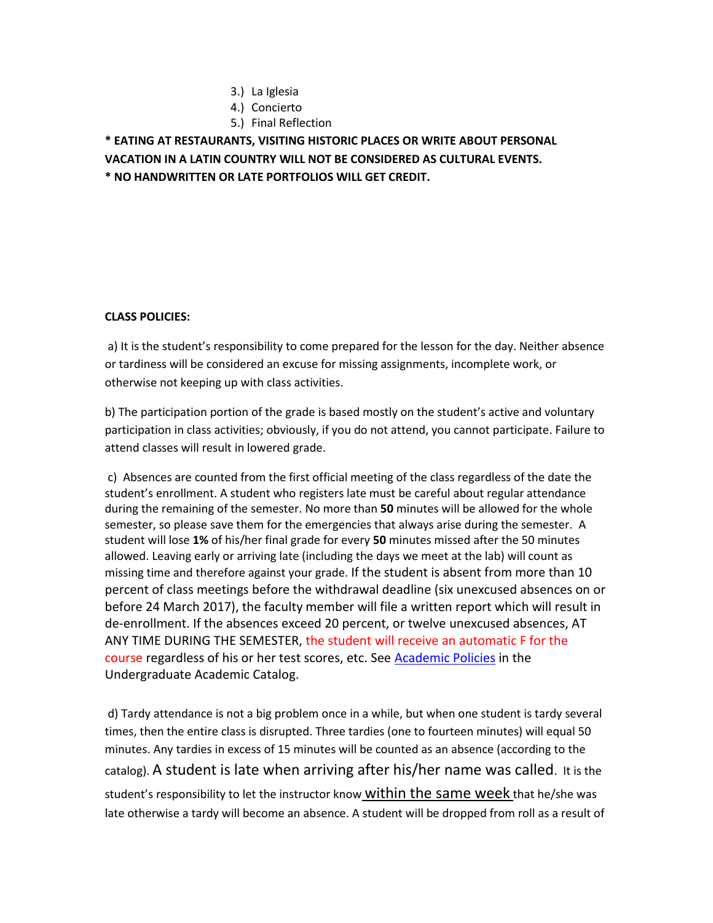- 3.) La Iglesia
- 4.) Concierto
- 5.) Final Reflection

**\* EATING AT RESTAURANTS, VISITING HISTORIC PLACES OR WRITE ABOUT PERSONAL VACATION IN A LATIN COUNTRY WILL NOT BE CONSIDERED AS CULTURAL EVENTS. \* NO HANDWRITTEN OR LATE PORTFOLIOS WILL GET CREDIT.**

#### **CLASS POLICIES:**

a) It is the student's responsibility to come prepared for the lesson for the day. Neither absence or tardiness will be considered an excuse for missing assignments, incomplete work, or otherwise not keeping up with class activities.

b) The participation portion of the grade is based mostly on the student's active and voluntary participation in class activities; obviously, if you do not attend, you cannot participate. Failure to attend classes will result in lowered grade.

c) Absences are counted from the first official meeting of the class regardless of the date the student's enrollment. A student who registers late must be careful about regular attendance during the remaining of the semester. No more than **50** minutes will be allowed for the whole semester, so please save them for the emergencies that always arise during the semester. A student will lose **1%** of his/her final grade for every **50** minutes missed after the 50 minutes allowed. Leaving early or arriving late (including the days we meet at the lab) will count as missing time and therefore against your grade. If the student is absent from more than 10 percent of class meetings before the withdrawal deadline (six unexcused absences on or before 24 March 2017), the faculty member will file a written report which will result in de-enrollment. If the absences exceed 20 percent, or twelve unexcused absences, AT ANY TIME DURING THE SEMESTER, the student will receive an automatic F for the course regardless of his or her test scores, etc. See [Academic Policies](http://catalog.pointloma.edu/content.php?catoid=18&navoid=1278) in the Undergraduate Academic Catalog.

d) Tardy attendance is not a big problem once in a while, but when one student is tardy several times, then the entire class is disrupted. Three tardies (one to fourteen minutes) will equal 50 minutes. Any tardies in excess of 15 minutes will be counted as an absence (according to the catalog). A student is late when arriving after his/her name was called. It is the student's responsibility to let the instructor know within the same week that he/she was late otherwise a tardy will become an absence. A student will be dropped from roll as a result of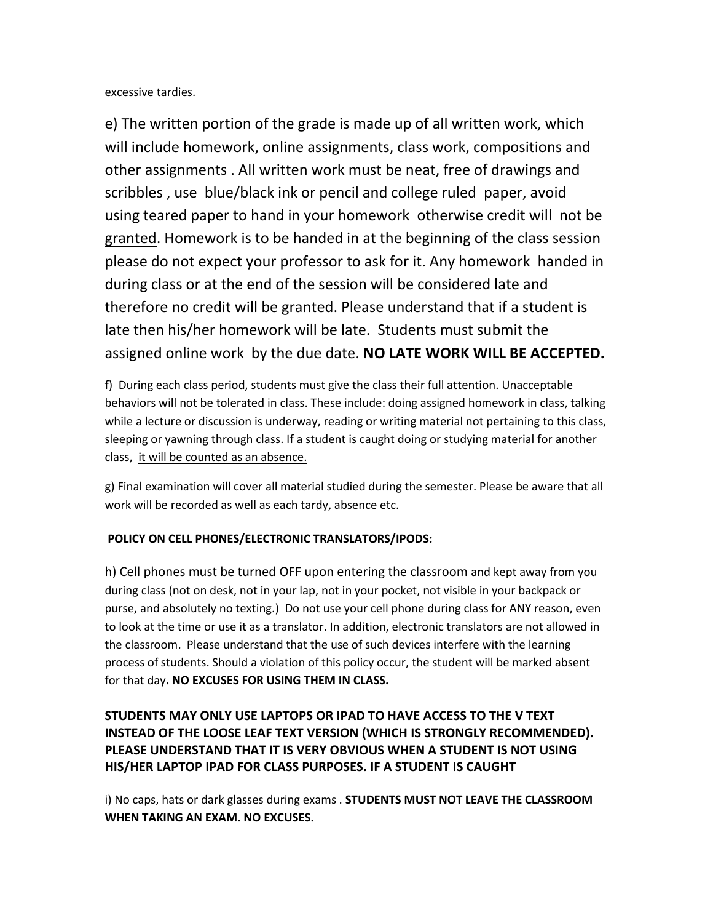excessive tardies.

e) The written portion of the grade is made up of all written work, which will include homework, online assignments, class work, compositions and other assignments . All written work must be neat, free of drawings and scribbles , use blue/black ink or pencil and college ruled paper, avoid using teared paper to hand in your homework otherwise credit will not be granted. Homework is to be handed in at the beginning of the class session please do not expect your professor to ask for it. Any homework handed in during class or at the end of the session will be considered late and therefore no credit will be granted. Please understand that if a student is late then his/her homework will be late. Students must submit the assigned online work by the due date. **NO LATE WORK WILL BE ACCEPTED.**

f) During each class period, students must give the class their full attention. Unacceptable behaviors will not be tolerated in class. These include: doing assigned homework in class, talking while a lecture or discussion is underway, reading or writing material not pertaining to this class, sleeping or yawning through class. If a student is caught doing or studying material for another class, it will be counted as an absence.

g) Final examination will cover all material studied during the semester. Please be aware that all work will be recorded as well as each tardy, absence etc.

#### **POLICY ON CELL PHONES/ELECTRONIC TRANSLATORS/IPODS:**

h) Cell phones must be turned OFF upon entering the classroom and kept away from you during class (not on desk, not in your lap, not in your pocket, not visible in your backpack or purse, and absolutely no texting.) Do not use your cell phone during class for ANY reason, even to look at the time or use it as a translator. In addition, electronic translators are not allowed in the classroom. Please understand that the use of such devices interfere with the learning process of students. Should a violation of this policy occur, the student will be marked absent for that day**. NO EXCUSES FOR USING THEM IN CLASS.** 

## **STUDENTS MAY ONLY USE LAPTOPS OR IPAD TO HAVE ACCESS TO THE V TEXT INSTEAD OF THE LOOSE LEAF TEXT VERSION (WHICH IS STRONGLY RECOMMENDED). PLEASE UNDERSTAND THAT IT IS VERY OBVIOUS WHEN A STUDENT IS NOT USING HIS/HER LAPTOP IPAD FOR CLASS PURPOSES. IF A STUDENT IS CAUGHT**

i) No caps, hats or dark glasses during exams . **STUDENTS MUST NOT LEAVE THE CLASSROOM WHEN TAKING AN EXAM. NO EXCUSES.**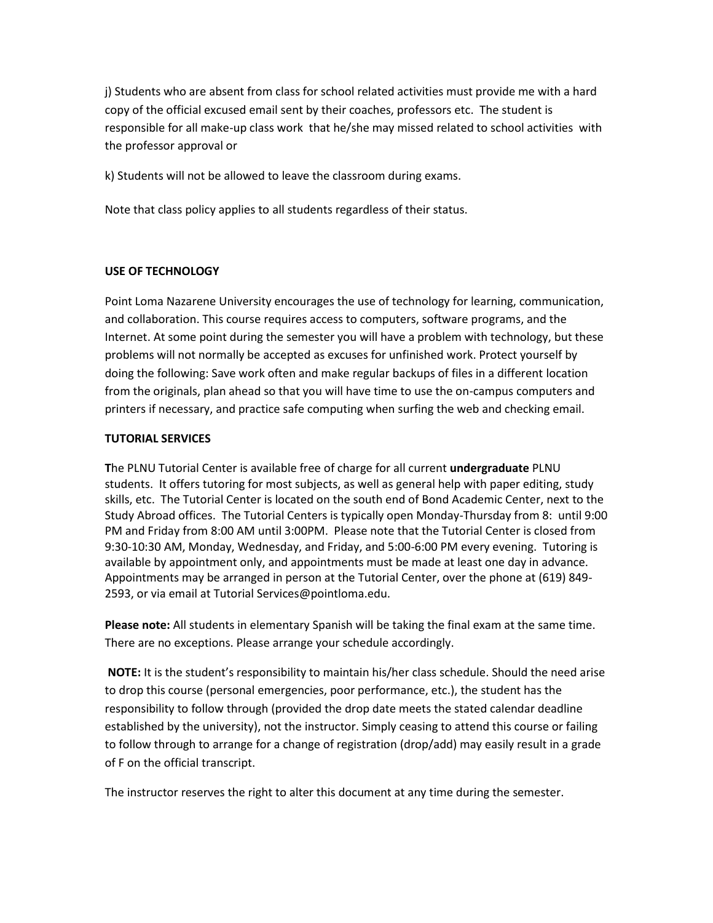j) Students who are absent from class for school related activities must provide me with a hard copy of the official excused email sent by their coaches, professors etc. The student is responsible for all make-up class work that he/she may missed related to school activities with the professor approval or

k) Students will not be allowed to leave the classroom during exams.

Note that class policy applies to all students regardless of their status.

#### **USE OF TECHNOLOGY**

Point Loma Nazarene University encourages the use of technology for learning, communication, and collaboration. This course requires access to computers, software programs, and the Internet. At some point during the semester you will have a problem with technology, but these problems will not normally be accepted as excuses for unfinished work. Protect yourself by doing the following: Save work often and make regular backups of files in a different location from the originals, plan ahead so that you will have time to use the on-campus computers and printers if necessary, and practice safe computing when surfing the web and checking email.

#### **TUTORIAL SERVICES**

**T**he PLNU Tutorial Center is available free of charge for all current **undergraduate** PLNU students. It offers tutoring for most subjects, as well as general help with paper editing, study skills, etc. The Tutorial Center is located on the south end of Bond Academic Center, next to the Study Abroad offices. The Tutorial Centers is typically open Monday-Thursday from 8: until 9:00 PM and Friday from 8:00 AM until 3:00PM. Please note that the Tutorial Center is closed from 9:30-10:30 AM, Monday, Wednesday, and Friday, and 5:00-6:00 PM every evening. Tutoring is available by appointment only, and appointments must be made at least one day in advance. Appointments may be arranged in person at the Tutorial Center, over the phone at (619) 849- 2593, or via email at Tutorial Services@pointloma.edu.

**Please note:** All students in elementary Spanish will be taking the final exam at the same time. There are no exceptions. Please arrange your schedule accordingly.

**NOTE:** It is the student's responsibility to maintain his/her class schedule. Should the need arise to drop this course (personal emergencies, poor performance, etc.), the student has the responsibility to follow through (provided the drop date meets the stated calendar deadline established by the university), not the instructor. Simply ceasing to attend this course or failing to follow through to arrange for a change of registration (drop/add) may easily result in a grade of F on the official transcript.

The instructor reserves the right to alter this document at any time during the semester.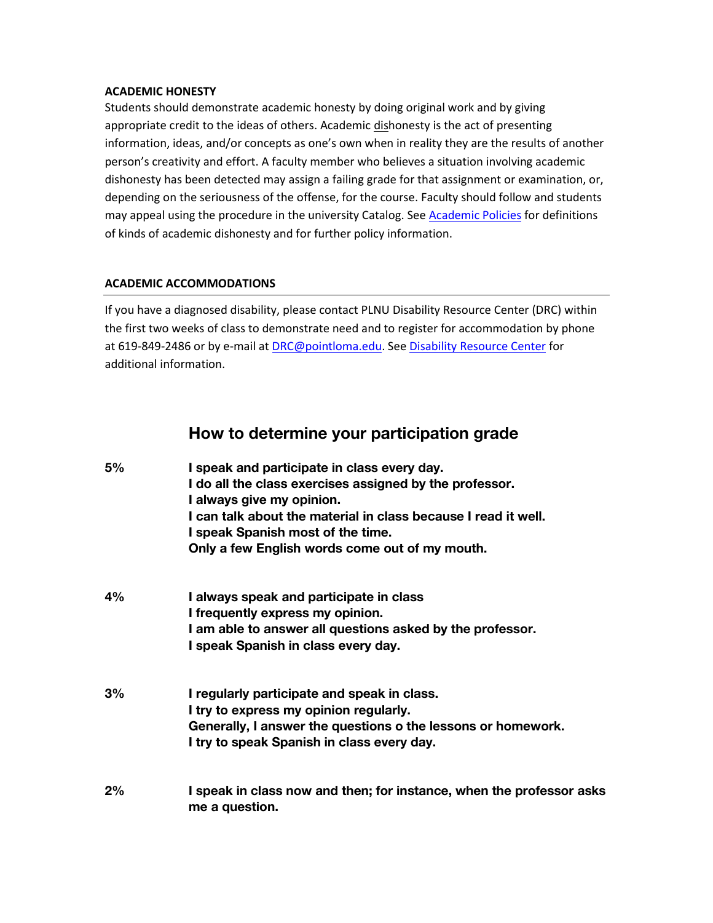#### **ACADEMIC HONESTY**

Students should demonstrate academic honesty by doing original work and by giving appropriate credit to the ideas of others. Academic dishonesty is the act of presenting information, ideas, and/or concepts as one's own when in reality they are the results of another person's creativity and effort. A faculty member who believes a situation involving academic dishonesty has been detected may assign a failing grade for that assignment or examination, or, depending on the seriousness of the offense, for the course. Faculty should follow and students may appeal using the procedure in the university Catalog. See [Academic Policies](http://catalog.pointloma.edu/content.php?catoid=18&navoid=1278) for definitions of kinds of academic dishonesty and for further policy information.

## **ACADEMIC ACCOMMODATIONS**

If you have a diagnosed disability, please contact PLNU Disability Resource Center (DRC) within the first two weeks of class to demonstrate need and to register for accommodation by phone at 619-849-2486 or by e-mail at **DRC@pointloma.edu. Se[e Disability Resource Center](http://www.pointloma.edu/experience/offices/administrative-offices/academic-advising-office/disability-resource-center)** for additional information.

# **How to determine your participation grade**

| 5% | I speak and participate in class every day.<br>I do all the class exercises assigned by the professor.<br>I always give my opinion.<br>I can talk about the material in class because I read it well.<br>I speak Spanish most of the time.<br>Only a few English words come out of my mouth. |
|----|----------------------------------------------------------------------------------------------------------------------------------------------------------------------------------------------------------------------------------------------------------------------------------------------|
| 4% | I always speak and participate in class<br>I frequently express my opinion.<br>I am able to answer all questions asked by the professor.<br>I speak Spanish in class every day.                                                                                                              |
| 3% | I regularly participate and speak in class.<br>I try to express my opinion regularly.<br>Generally, I answer the questions o the lessons or homework.<br>I try to speak Spanish in class every day.                                                                                          |
| 2% | I speak in class now and then; for instance, when the professor asks<br>me a question.                                                                                                                                                                                                       |